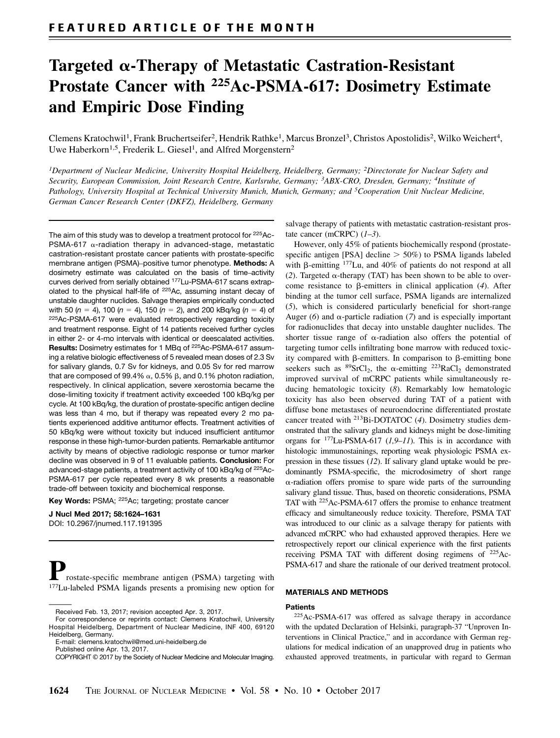# Targeted a-Therapy of Metastatic Castration-Resistant Prostate Cancer with 225Ac-PSMA-617: Dosimetry Estimate and Empiric Dose Finding

Clemens Kratochwil<sup>1</sup>, Frank Bruchertseifer<sup>2</sup>, Hendrik Rathke<sup>1</sup>, Marcus Bronzel<sup>3</sup>, Christos Apostolidis<sup>2</sup>, Wilko Weichert<sup>4</sup>, Uwe Haberkorn<sup>1,5</sup>, Frederik L. Giesel<sup>1</sup>, and Alfred Morgenstern<sup>2</sup>

<sup>1</sup>Department of Nuclear Medicine, University Hospital Heidelberg, Heidelberg, Germany; <sup>2</sup>Directorate for Nuclear Safety and Security, European Commission, Joint Research Centre, Karlsruhe, Germany; 3ABX-CRO, Dresden, Germany; 4Institute of Pathology, University Hospital at Technical University Munich, Munich, Germany; and <sup>5</sup>Cooperation Unit Nuclear Medicine, German Cancer Research Center (DKFZ), Heidelberg, Germany

The aim of this study was to develop a treatment protocol for 225Ac-PSMA-617  $\alpha$ -radiation therapy in advanced-stage, metastatic castration-resistant prostate cancer patients with prostate-specific membrane antigen (PSMA)–positive tumor phenotype. Methods: A dosimetry estimate was calculated on the basis of time–activity curves derived from serially obtained 177Lu-PSMA-617 scans extrapolated to the physical half-life of 225Ac, assuming instant decay of unstable daughter nuclides. Salvage therapies empirically conducted with 50  $(n = 4)$ , 100  $(n = 4)$ , 150  $(n = 2)$ , and 200 kBq/kg  $(n = 4)$  of 225Ac-PSMA-617 were evaluated retrospectively regarding toxicity and treatment response. Eight of 14 patients received further cycles in either 2- or 4-mo intervals with identical or deescalated activities. Results: Dosimetry estimates for 1 MBq of 225Ac-PSMA-617 assuming a relative biologic effectiveness of 5 revealed mean doses of 2.3 Sv for salivary glands, 0.7 Sv for kidneys, and 0.05 Sv for red marrow that are composed of 99.4%  $\alpha$ , 0.5%  $\beta$ , and 0.1% photon radiation, respectively. In clinical application, severe xerostomia became the dose-limiting toxicity if treatment activity exceeded 100 kBq/kg per cycle. At 100 kBq/kg, the duration of prostate-specific antigen decline was less than 4 mo, but if therapy was repeated every 2 mo patients experienced additive antitumor effects. Treatment activities of 50 kBq/kg were without toxicity but induced insufficient antitumor response in these high-tumor-burden patients. Remarkable antitumor activity by means of objective radiologic response or tumor marker decline was observed in 9 of 11 evaluable patients. Conclusion: For advanced-stage patients, a treatment activity of 100 kBq/kg of 225Ac-PSMA-617 per cycle repeated every 8 wk presents a reasonable trade-off between toxicity and biochemical response.

Key Words: PSMA; 225Ac; targeting; prostate cancer

J Nucl Med 2017; 58:1624–1631 DOI: 10.2967/jnumed.117.191395

Prostate-specific membrane antigen (PSMA) targeting with 177Lu-labeled PSMA ligands presents a promising new option for

E-mail: [clemens.kratochwil@med.uni-heidelberg.de](mailto:clemens.kratochwil@med.uni-heidelberg.de)

salvage therapy of patients with metastatic castration-resistant prostate cancer (mCRPC)  $(l-3)$ .

However, only 45% of patients biochemically respond (prostatespecific antigen [PSA] decline  $>$  50%) to PSMA ligands labeled with  $\beta$ -emitting <sup>177</sup>Lu, and 40% of patients do not respond at all (2). Targeted  $\alpha$ -therapy (TAT) has been shown to be able to overcome resistance to  $\beta$ -emitters in clinical application (4). After binding at the tumor cell surface, PSMA ligands are internalized (5), which is considered particularly beneficial for short-range Auger (6) and  $\alpha$ -particle radiation (7) and is especially important for radionuclides that decay into unstable daughter nuclides. The shorter tissue range of  $\alpha$ -radiation also offers the potential of targeting tumor cells infiltrating bone marrow with reduced toxicity compared with  $\beta$ -emitters. In comparison to  $\beta$ -emitting bone seekers such as  ${}^{89}SrCl_2$ , the  $\alpha$ -emitting <sup>223</sup>RaCl<sub>2</sub> demonstrated improved survival of mCRPC patients while simultaneously reducing hematologic toxicity (8). Remarkably low hematologic toxicity has also been observed during TAT of a patient with diffuse bone metastases of neuroendocrine differentiated prostate cancer treated with <sup>213</sup>Bi-DOTATOC (4). Dosimetry studies demonstrated that the salivary glands and kidneys might be dose-limiting organs for  $177$ Lu-PSMA-617 (1,9–11). This is in accordance with histologic immunostainings, reporting weak physiologic PSMA expression in these tissues (12). If salivary gland uptake would be predominantly PSMA-specific, the microdosimetry of short range  $\alpha$ -radiation offers promise to spare wide parts of the surrounding salivary gland tissue. Thus, based on theoretic considerations, PSMA TAT with 225Ac-PSMA-617 offers the promise to enhance treatment efficacy and simultaneously reduce toxicity. Therefore, PSMA TAT was introduced to our clinic as a salvage therapy for patients with advanced mCRPC who had exhausted approved therapies. Here we retrospectively report our clinical experience with the first patients receiving PSMA TAT with different dosing regimens of 225Ac-PSMA-617 and share the rationale of our derived treatment protocol.

#### MATERIALS AND METHODS

#### **Patients**

225Ac-PSMA-617 was offered as salvage therapy in accordance with the updated Declaration of Helsinki, paragraph-37 "Unproven Interventions in Clinical Practice," and in accordance with German regulations for medical indication of an unapproved drug in patients who exhausted approved treatments, in particular with regard to German

Received Feb. 13, 2017; revision accepted Apr. 3, 2017.

For correspondence or reprints contact: Clemens Kratochwil, University Hospital Heidelberg, Department of Nuclear Medicine, INF 400, 69120 Heidelberg, Germany.

Published online Apr. 13, 2017.

COPYRIGHT © 2017 by the Society of Nuclear Medicine and Molecular Imaging.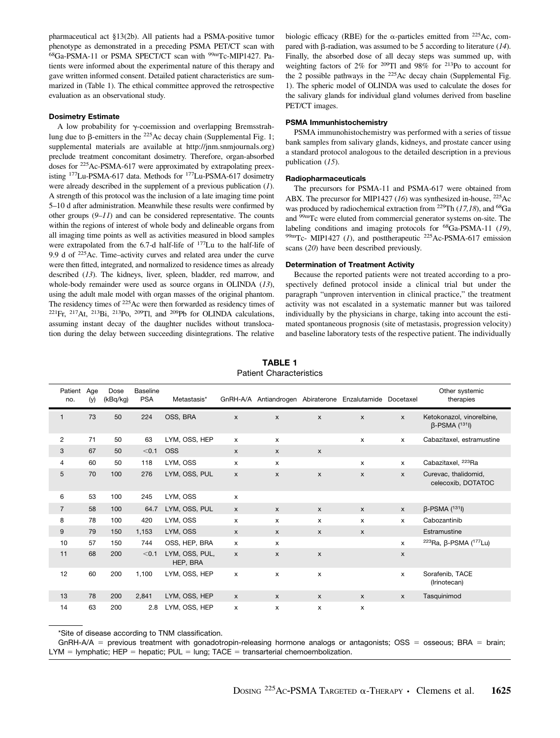pharmaceutical act §13(2b). All patients had a PSMA-positive tumor phenotype as demonstrated in a preceding PSMA PET/CT scan with 68Ga-PSMA-11 or PSMA SPECT/CT scan with 99mTc-MIP1427. Patients were informed about the experimental nature of this therapy and gave written informed consent. Detailed patient characteristics are summarized in (Table 1). The ethical committee approved the retrospective evaluation as an observational study.

#### Dosimetry Estimate

A low probability for  $\gamma$ -coemission and overlapping Bremsstrahlung due to  $\beta$ -emitters in the <sup>225</sup>Ac decay chain (Supplemental Fig. 1; supplemental materials are available at [http://jnm.snmjournals.org](http://jnm.snmjournals.org/)) preclude treatment concomitant dosimetry. Therefore, organ-absorbed doses for 225Ac-PSMA-617 were approximated by extrapolating preexisting 177Lu-PSMA-617 data. Methods for 177Lu-PSMA-617 dosimetry were already described in the supplement of a previous publication (1). A strength of this protocol was the inclusion of a late imaging time point 5–10 d after administration. Meanwhile these results were confirmed by other groups  $(9-11)$  and can be considered representative. The counts within the regions of interest of whole body and delineable organs from all imaging time points as well as activities measured in blood samples were extrapolated from the 6.7-d half-life of 177Lu to the half-life of 9.9 d of 225Ac. Time–activity curves and related area under the curve were then fitted, integrated, and normalized to residence times as already described (13). The kidneys, liver, spleen, bladder, red marrow, and whole-body remainder were used as source organs in OLINDA (13), using the adult male model with organ masses of the original phantom. The residency times of 225Ac were then forwarded as residency times of  $221$ Fr,  $217$ At,  $213$ Bi,  $213$ Po,  $209$ Tl, and  $209$ Pb for OLINDA calculations, assuming instant decay of the daughter nuclides without translocation during the delay between succeeding disintegrations. The relative

biologic efficacy (RBE) for the  $\alpha$ -particles emitted from <sup>225</sup>Ac, compared with  $\beta$ -radiation, was assumed to be 5 according to literature (14). Finally, the absorbed dose of all decay steps was summed up, with weighting factors of 2% for 209Tl and 98% for 213Po to account for the 2 possible pathways in the  $225$ Ac decay chain (Supplemental Fig. 1). The spheric model of OLINDA was used to calculate the doses for the salivary glands for individual gland volumes derived from baseline PET/CT images.

#### PSMA Immunhistochemistry

PSMA immunohistochemistry was performed with a series of tissue bank samples from salivary glands, kidneys, and prostate cancer using a standard protocol analogous to the detailed description in a previous publication (15).

#### Radiopharmaceuticals

The precursors for PSMA-11 and PSMA-617 were obtained from ABX. The precursor for MIP1427 (16) was synthesized in-house, <sup>225</sup>Ac was produced by radiochemical extraction from <sup>229</sup>Th (17,18), and <sup>68</sup>Ga and 99mTc were eluted from commercial generator systems on-site. The labeling conditions and imaging protocols for <sup>68</sup>Ga-PSMA-11 (19), 99mTc- MIP1427 (1), and posttherapeutic <sup>225</sup>Ac-PSMA-617 emission scans (20) have been described previously.

#### Determination of Treatment Activity

Because the reported patients were not treated according to a prospectively defined protocol inside a clinical trial but under the paragraph "unproven intervention in clinical practice," the treatment activity was not escalated in a systematic manner but was tailored individually by the physicians in charge, taking into account the estimated spontaneous prognosis (site of metastasis, progression velocity) and baseline laboratory tests of the respective patient. The individually

## TABLE 1 Patient Characteristics

| no.            | Patient Age<br>(y) | Dose<br>(kBq/kg) | <b>Baseline</b><br><b>PSA</b> | Metastasis*                |                           |                    |                           | GnRH-A/A Antiandrogen Abiraterone Enzalutamide Docetaxel |                    | Other systemic<br>therapies                      |
|----------------|--------------------|------------------|-------------------------------|----------------------------|---------------------------|--------------------|---------------------------|----------------------------------------------------------|--------------------|--------------------------------------------------|
| $\mathbf{1}$   | 73                 | 50               | 224                           | OSS, BRA                   | $\mathsf{x}$              | $\pmb{\mathsf{x}}$ | $\mathsf{x}$              | $\mathsf{x}$                                             | $\mathsf{x}$       | Ketokonazol, vinorelbine,<br>$\beta$ -PSMA (131) |
| $\overline{2}$ | 71                 | 50               | 63                            | LYM, OSS, HEP              | X                         | $\times$           |                           | $\times$                                                 | $\times$           | Cabazitaxel, estramustine                        |
| 3              | 67                 | 50               | < 0.1                         | <b>OSS</b>                 | $\pmb{\times}$            | $\pmb{\times}$     | $\boldsymbol{\mathsf{x}}$ |                                                          |                    |                                                  |
| 4              | 60                 | 50               | 118                           | LYM, OSS                   | x                         | x                  |                           | $\mathsf{x}$                                             | $\mathsf{x}$       | Cabazitaxel, <sup>223</sup> Ra                   |
| 5              | 70                 | 100              | 276                           | LYM, OSS, PUL              | $\pmb{\times}$            | X                  | $\mathsf{x}$              | $\mathsf{x}$                                             | $\mathsf{x}$       | Curevac, thalidomid,<br>celecoxib, DOTATOC       |
| 6              | 53                 | 100              | 245                           | LYM, OSS                   | x                         |                    |                           |                                                          |                    |                                                  |
| $\overline{7}$ | 58                 | 100              | 64.7                          | LYM, OSS, PUL              | $\boldsymbol{\mathsf{x}}$ | $\mathsf{x}$       | $\boldsymbol{\mathsf{x}}$ | $\boldsymbol{\mathsf{x}}$                                | $\pmb{\mathsf{X}}$ | $\beta$ -PSMA (131)                              |
| 8              | 78                 | 100              | 420                           | LYM, OSS                   | X                         | $\mathsf{x}$       | $\mathsf{x}$              | $\mathsf{x}$                                             | $\mathsf{x}$       | Cabozantinib                                     |
| 9              | 79                 | 150              | 1,153                         | LYM, OSS                   | $\boldsymbol{\mathsf{x}}$ | X                  | $\mathsf{x}$              | $\mathsf{x}$                                             |                    | Estramustine                                     |
| 10             | 57                 | 150              | 744                           | OSS, HEP, BRA              | x                         | x                  |                           |                                                          | $\mathsf{x}$       | <sup>223</sup> Ra, β-PSMA ( <sup>177</sup> Lu)   |
| 11             | 68                 | 200              | < 0.1                         | LYM, OSS, PUL,<br>HEP, BRA | $\mathsf{x}$              | X                  | $\boldsymbol{\mathsf{x}}$ |                                                          | $\pmb{\mathsf{X}}$ |                                                  |
| 12             | 60                 | 200              | 1,100                         | LYM, OSS, HEP              | x                         | x                  | x                         |                                                          | $\mathsf{x}$       | Sorafenib, TACE<br>(Irinotecan)                  |
| 13             | 78                 | 200              | 2,841                         | LYM, OSS, HEP              | $\pmb{\times}$            | $\mathsf{x}$       | $\mathsf{x}$              | $\mathsf{x}$                                             | X                  | Tasquinimod                                      |
| 14             | 63                 | 200              | 2.8                           | LYM, OSS, HEP              | X                         | $\mathsf{x}$       | $\mathsf{x}$              | $\mathsf{x}$                                             |                    |                                                  |

\*Site of disease according to TNM classification.

GnRH-A/A = previous treatment with gonadotropin-releasing hormone analogs or antagonists; OSS = osseous; BRA = brain;  $LYM = Iymphatic$ ; HEP = hepatic; PUL = lung; TACE = transarterial chemoembolization.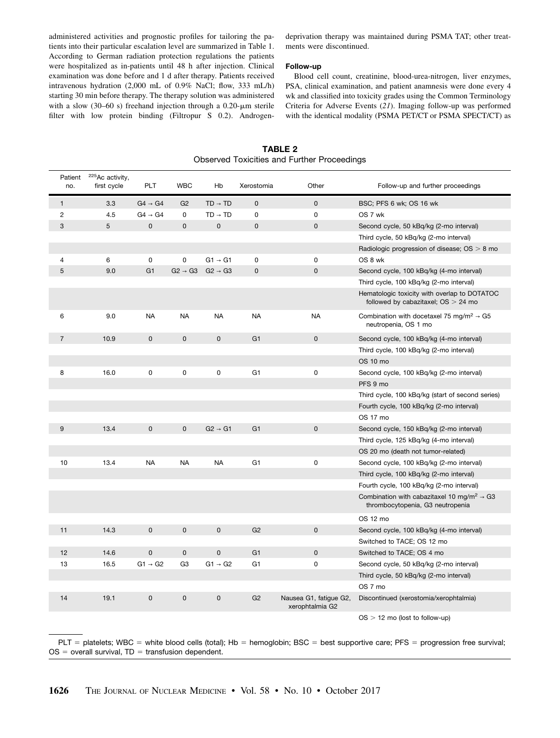administered activities and prognostic profiles for tailoring the patients into their particular escalation level are summarized in Table 1. According to German radiation protection regulations the patients were hospitalized as in-patients until 48 h after injection. Clinical examination was done before and 1 d after therapy. Patients received intravenous hydration (2,000 mL of 0.9% NaCl; flow, 333 mL/h) starting 30 min before therapy. The therapy solution was administered with a slow (30–60 s) freehand injection through a 0.20- $\mu$ m sterile filter with low protein binding (Filtropur S 0.2). Androgen-

deprivation therapy was maintained during PSMA TAT; other treatments were discontinued.

#### Follow-up

Blood cell count, creatinine, blood-urea-nitrogen, liver enzymes, PSA, clinical examination, and patient anamnesis were done every 4 wk and classified into toxicity grades using the Common Terminology Criteria for Adverse Events (21). Imaging follow-up was performed with the identical modality (PSMA PET/CT or PSMA SPECT/CT) as

Patient no. 225Ac activity, first cycle PLT WBC Hb Xerostomia Other Follow-up and further proceedings 1 3.3 G4 → G4 G2 TD → TD 0 0 BSC; PFS 6 wk; OS 16 wk 2 4.5 G4 → G4 0 TD → TD 0 0 0S 7 wk 3 5 0 0 0 0 0 Second cycle, 50 kBq/kg (2-mo interval) Third cycle, 50 kBq/kg (2-mo interval) Radiologic progression of disease;  $OS > 8$  mo 4 6 0 0 G1 → G1 0 0 OS 8 wk 5 9.0 G1 G2 → G3 G2 → G3 0 0 Second cycle, 100 kBq/kg (4-mo interval) Third cycle, 100 kBq/kg (2-mo interval) Hematologic toxicity with overlap to DOTATOC followed by cabazitaxel;  $OS > 24$  mo 6 9.0 NA NA NA NA NA Combination with docetaxel 75 mg/m<sup>2</sup> → G5 neutropenia, OS 1 mo 7 10.9 0 0 0 G1 0 Second cycle, 100 kBq/kg (4-mo interval) Third cycle, 100 kBq/kg (2-mo interval) OS 10 mo 8 16.0 0 0 0 G1 0 Second cycle, 100 kBq/kg (2-mo interval) PFS 9 mo Third cycle, 100 kBq/kg (start of second series) Fourth cycle, 100 kBq/kg (2-mo interval) OS 17 mo 9 13.4 0 0 G2 → G1 G1 0 Second cycle, 150 kBq/kg (2-mo interval) Third cycle, 125 kBq/kg (4-mo interval) OS 20 mo (death not tumor-related) 10 13.4 NA NA NA G1 0 Second cycle, 100 kBq/kg (2-mo interval) Third cycle, 100 kBq/kg (2-mo interval) Fourth cycle, 100 kBq/kg (2-mo interval) Combination with cabazitaxel 10 mg/m<sup>2</sup>  $\rightarrow$  G3 thrombocytopenia, G3 neutropenia OS 12 mo 11 14.3 0 0 0 G2 0 Second cycle, 100 kBq/kg (4-mo interval) Switched to TACE; OS 12 mo 12 14.6 0 0 0 G1 0 Switched to TACE; OS 4 mo 13 16.5 G1 → G2 G3 G1 → G2 G1 0 Second cycle, 50 kBq/kg (2-mo interval) Third cycle, 50 kBq/kg (2-mo interval) OS 7 mo 14 19.1 0 0 0 G2 Nausea G1, fatigue G2, xerophtalmia G2 Discontinued (xerostomia/xerophtalmia)  $OS > 12$  mo (lost to follow-up)

TABLE 2 Observed Toxicities and Further Proceedings

PLT = platelets; WBC = white blood cells (total); Hb = hemoglobin; BSC = best supportive care; PFS = progression free survival;  $OS =$  overall survival,  $TD =$  transfusion dependent.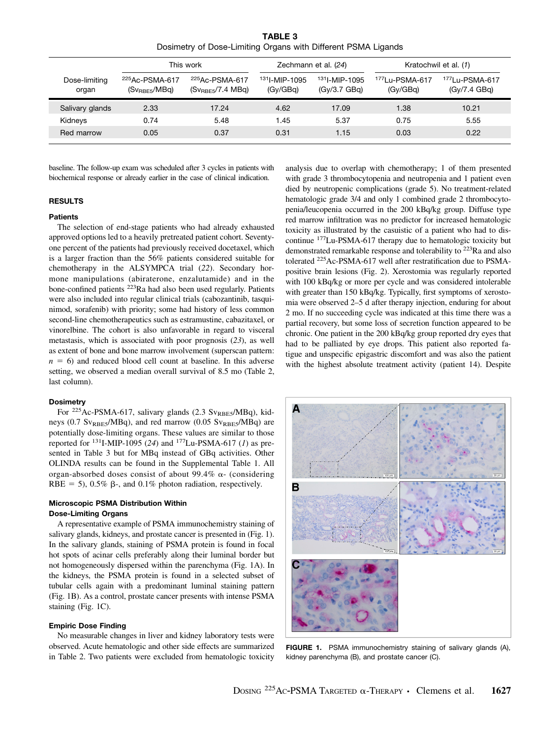TABLE 3 Dosimetry of Dose-Limiting Organs with Different PSMA Ligands

|                        |                                                         | This work                                                          |                                      | Zechmann et al. (24)                     | Kratochwil et al. (1)                  |                                            |  |
|------------------------|---------------------------------------------------------|--------------------------------------------------------------------|--------------------------------------|------------------------------------------|----------------------------------------|--------------------------------------------|--|
| Dose-limiting<br>organ | <sup>225</sup> Ac-PSMA-617<br>(Sv <sub>RBE5</sub> /MBq) | <sup>225</sup> Ac-PSMA-617<br>$(Sv_{\text{RBE5}}/7.4 \text{ MBG})$ | <sup>131</sup> -MIP-1095<br>(GV/GBa) | <sup>131</sup> -MIP-1095<br>(Gv/3.7 GBq) | <sup>177</sup> Lu-PSMA-617<br>(GV/GBa) | <sup>177</sup> Lu-PSMA-617<br>(GV/7.4 GBq) |  |
| Salivary glands        | 2.33                                                    | 17.24                                                              | 4.62                                 | 17.09                                    | 1.38                                   | 10.21                                      |  |
| Kidneys                | 0.74                                                    | 5.48                                                               | 1.45                                 | 5.37                                     | 0.75                                   | 5.55                                       |  |
| Red marrow             | 0.05                                                    | 0.37                                                               | 0.31                                 | 1.15                                     | 0.03                                   | 0.22                                       |  |

baseline. The follow-up exam was scheduled after 3 cycles in patients with biochemical response or already earlier in the case of clinical indication.

## RESULTS

#### **Patients**

The selection of end-stage patients who had already exhausted approved options led to a heavily pretreated patient cohort. Seventyone percent of the patients had previously received docetaxel, which is a larger fraction than the 56% patients considered suitable for chemotherapy in the ALSYMPCA trial (22). Secondary hormone manipulations (abiraterone, enzalutamide) and in the bone-confined patients 223Ra had also been used regularly. Patients were also included into regular clinical trials (cabozantinib, tasquinimod, sorafenib) with priority; some had history of less common second-line chemotherapeutics such as estramustine, cabazitaxel, or vinorelbine. The cohort is also unfavorable in regard to visceral metastasis, which is associated with poor prognosis (23), as well as extent of bone and bone marrow involvement (superscan pattern:  $n = 6$ ) and reduced blood cell count at baseline. In this adverse setting, we observed a median overall survival of 8.5 mo (Table 2, last column).

# **Dosimetry**

For <sup>225</sup>Ac-PSMA-617, salivary glands (2.3 Sv<sub>RBE5</sub>/MBq), kidneys (0.7  $\text{Sv}_{\text{RBE5}}/\text{MBq}$ ), and red marrow (0.05  $\text{Sv}_{\text{RBE5}}/\text{MBq}$ ) are potentially dose-limiting organs. These values are similar to those reported for  $^{131}$ I-MIP-1095 (24) and  $^{177}$ Lu-PSMA-617 (1) as presented in Table 3 but for MBq instead of GBq activities. Other OLINDA results can be found in the Supplemental Table 1. All organ-absorbed doses consist of about 99.4%  $\alpha$ - (considering RBE = 5), 0.5%  $\beta$ -, and 0.1% photon radiation, respectively.

# Microscopic PSMA Distribution Within Dose-Limiting Organs

A representative example of PSMA immunochemistry staining of salivary glands, kidneys, and prostate cancer is presented in (Fig. 1). In the salivary glands, staining of PSMA protein is found in focal hot spots of acinar cells preferably along their luminal border but not homogeneously dispersed within the parenchyma (Fig. 1A). In the kidneys, the PSMA protein is found in a selected subset of tubular cells again with a predominant luminal staining pattern (Fig. 1B). As a control, prostate cancer presents with intense PSMA staining (Fig. 1C).

#### Empiric Dose Finding

No measurable changes in liver and kidney laboratory tests were observed. Acute hematologic and other side effects are summarized in Table 2. Two patients were excluded from hematologic toxicity analysis due to overlap with chemotherapy; 1 of them presented with grade 3 thrombocytopenia and neutropenia and 1 patient even died by neutropenic complications (grade 5). No treatment-related hematologic grade 3/4 and only 1 combined grade 2 thrombocytopenia/leucopenia occurred in the 200 kBq/kg group. Diffuse type red marrow infiltration was no predictor for increased hematologic toxicity as illustrated by the casuistic of a patient who had to discontinue 177Lu-PSMA-617 therapy due to hematologic toxicity but demonstrated remarkable response and tolerability to <sup>223</sup>Ra and also tolerated 225Ac-PSMA-617 well after restratification due to PSMApositive brain lesions (Fig. 2). Xerostomia was regularly reported with 100 kBq/kg or more per cycle and was considered intolerable with greater than 150 kBq/kg. Typically, first symptoms of xerostomia were observed 2–5 d after therapy injection, enduring for about 2 mo. If no succeeding cycle was indicated at this time there was a partial recovery, but some loss of secretion function appeared to be chronic. One patient in the 200 kBq/kg group reported dry eyes that had to be palliated by eye drops. This patient also reported fatigue and unspecific epigastric discomfort and was also the patient with the highest absolute treatment activity (patient 14). Despite



FIGURE 1. PSMA immunochemistry staining of salivary glands (A), kidney parenchyma (B), and prostate cancer (C).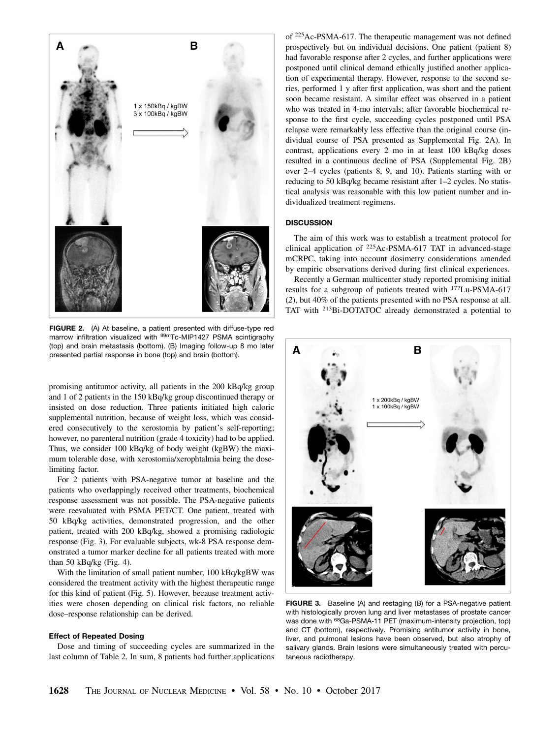

FIGURE 2. (A) At baseline, a patient presented with diffuse-type red marrow infiltration visualized with <sup>99m</sup>Tc-MIP1427 PSMA scintigraphy (top) and brain metastasis (bottom). (B) Imaging follow-up 8 mo later presented partial response in bone (top) and brain (bottom).

promising antitumor activity, all patients in the 200 kBq/kg group and 1 of 2 patients in the 150 kBq/kg group discontinued therapy or insisted on dose reduction. Three patients initiated high caloric supplemental nutrition, because of weight loss, which was considered consecutively to the xerostomia by patient's self-reporting; however, no parenteral nutrition (grade 4 toxicity) had to be applied. Thus, we consider 100 kBq/kg of body weight (kgBW) the maximum tolerable dose, with xerostomia/xerophtalmia being the doselimiting factor.

For 2 patients with PSA-negative tumor at baseline and the patients who overlappingly received other treatments, biochemical response assessment was not possible. The PSA-negative patients were reevaluated with PSMA PET/CT. One patient, treated with 50 kBq/kg activities, demonstrated progression, and the other patient, treated with 200 kBq/kg, showed a promising radiologic response (Fig. 3). For evaluable subjects, wk-8 PSA response demonstrated a tumor marker decline for all patients treated with more than 50 kBq/kg (Fig. 4).

With the limitation of small patient number, 100 kBq/kgBW was considered the treatment activity with the highest therapeutic range for this kind of patient (Fig. 5). However, because treatment activities were chosen depending on clinical risk factors, no reliable dose–response relationship can be derived.

#### Effect of Repeated Dosing

Dose and timing of succeeding cycles are summarized in the last column of Table 2. In sum, 8 patients had further applications

of <sup>225</sup>Ac-PSMA-617. The therapeutic management was not defined prospectively but on individual decisions. One patient (patient 8) had favorable response after 2 cycles, and further applications were postponed until clinical demand ethically justified another application of experimental therapy. However, response to the second series, performed 1 y after first application, was short and the patient soon became resistant. A similar effect was observed in a patient who was treated in 4-mo intervals; after favorable biochemical response to the first cycle, succeeding cycles postponed until PSA relapse were remarkably less effective than the original course (individual course of PSA presented as Supplemental Fig. 2A). In contrast, applications every 2 mo in at least 100 kBq/kg doses resulted in a continuous decline of PSA (Supplemental Fig. 2B) over 2–4 cycles (patients 8, 9, and 10). Patients starting with or reducing to 50 kBq/kg became resistant after 1–2 cycles. No statistical analysis was reasonable with this low patient number and individualized treatment regimens.

## **DISCUSSION**

The aim of this work was to establish a treatment protocol for clinical application of  $225$ Ac-PSMA-617 TAT in advanced-stage mCRPC, taking into account dosimetry considerations amended by empiric observations derived during first clinical experiences.

Recently a German multicenter study reported promising initial results for a subgroup of patients treated with 177Lu-PSMA-617 (2), but 40% of the patients presented with no PSA response at all. TAT with 213Bi-DOTATOC already demonstrated a potential to



FIGURE 3. Baseline (A) and restaging (B) for a PSA-negative patient with histologically proven lung and liver metastases of prostate cancer was done with <sup>68</sup>Ga-PSMA-11 PET (maximum-intensity projection, top) and CT (bottom), respectively. Promising antitumor activity in bone, liver, and pulmonal lesions have been observed, but also atrophy of salivary glands. Brain lesions were simultaneously treated with percutaneous radiotherapy.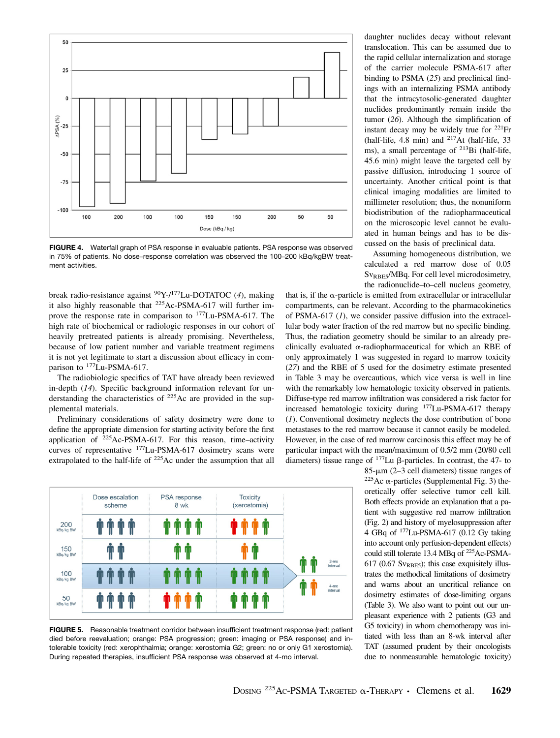

FIGURE 4. Waterfall graph of PSA response in evaluable patients. PSA response was observed in 75% of patients. No dose–response correlation was observed the 100–200 kBq/kgBW treatment activities.

break radio-resistance against 90Y-/177Lu-DOTATOC (4), making it also highly reasonable that 225Ac-PSMA-617 will further improve the response rate in comparison to 177Lu-PSMA-617. The high rate of biochemical or radiologic responses in our cohort of heavily pretreated patients is already promising. Nevertheless, because of low patient number and variable treatment regimens it is not yet legitimate to start a discussion about efficacy in comparison to <sup>177</sup>Lu-PSMA-617.

The radiobiologic specifics of TAT have already been reviewed in-depth (14). Specific background information relevant for understanding the characteristics of 225Ac are provided in the supplemental materials.

Preliminary considerations of safety dosimetry were done to define the appropriate dimension for starting activity before the first application of 225Ac-PSMA-617. For this reason, time–activity curves of representative 177Lu-PSMA-617 dosimetry scans were extrapolated to the half-life of 225Ac under the assumption that all



FIGURE 5. Reasonable treatment corridor between insufficient treatment response (red: patient died before reevaluation; orange: PSA progression; green: imaging or PSA response) and intolerable toxicity (red: xerophthalmia; orange: xerostomia G2; green: no or only G1 xerostomia). During repeated therapies, insufficient PSA response was observed at 4-mo interval.

daughter nuclides decay without relevant translocation. This can be assumed due to the rapid cellular internalization and storage of the carrier molecule PSMA-617 after binding to PSMA (25) and preclinical findings with an internalizing PSMA antibody that the intracytosolic-generated daughter nuclides predominantly remain inside the tumor (26). Although the simplification of instant decay may be widely true for  $^{221}Fr$ (half-life, 4.8 min) and 217At (half-life, 33 ms), a small percentage of 213Bi (half-life, 45.6 min) might leave the targeted cell by passive diffusion, introducing 1 source of uncertainty. Another critical point is that clinical imaging modalities are limited to millimeter resolution; thus, the nonuniform biodistribution of the radiopharmaceutical on the microscopic level cannot be evaluated in human beings and has to be discussed on the basis of preclinical data.

Assuming homogeneous distribution, we calculated a red marrow dose of 0.05 Sv<sub>RBE5</sub>/MBq. For cell level microdosimetry, the radionuclide–to–cell nucleus geometry,

that is, if the  $\alpha$ -particle is emitted from extracellular or intracellular compartments, can be relevant. According to the pharmacokinetics of PSMA-617 (1), we consider passive diffusion into the extracellular body water fraction of the red marrow but no specific binding. Thus, the radiation geometry should be similar to an already preclinically evaluated  $\alpha$ -radiopharmaceutical for which an RBE of only approximately 1 was suggested in regard to marrow toxicity (27) and the RBE of 5 used for the dosimetry estimate presented in Table 3 may be overcautious, which vice versa is well in line with the remarkably low hematologic toxicity observed in patients. Diffuse‐type red marrow infiltration was considered a risk factor for increased hematologic toxicity during 177Lu-PSMA-617 therapy (1). Conventional dosimetry neglects the dose contribution of bone metastases to the red marrow because it cannot easily be modeled. However, in the case of red marrow carcinosis this effect may be of particular impact with the mean/maximum of 0.5/2 mm (20/80 cell diameters) tissue range of  $177$ Lu  $\beta$ -particles. In contrast, the 47- to 85- $\mu$ m (2-3 cell diameters) tissue ranges of

<sup>225</sup>Ac  $\alpha$ -particles (Supplemental Fig. 3) theoretically offer selective tumor cell kill. Both effects provide an explanation that a patient with suggestive red marrow infiltration (Fig. 2) and history of myelosuppression after 4 GBq of 177Lu-PSMA-617 (0.12 Gy taking into account only perfusion-dependent effects) could still tolerate 13.4 MBq of 225Ac-PSMA-617 (0.67 S $v_{RBE5}$ ); this case exquisitely illustrates the methodical limitations of dosimetry and warns about an uncritical reliance on dosimetry estimates of dose-limiting organs (Table 3). We also want to point out our unpleasant experience with 2 patients (G3 and G5 toxicity) in whom chemotherapy was initiated with less than an 8-wk interval after TAT (assumed prudent by their oncologists due to nonmeasurable hematologic toxicity)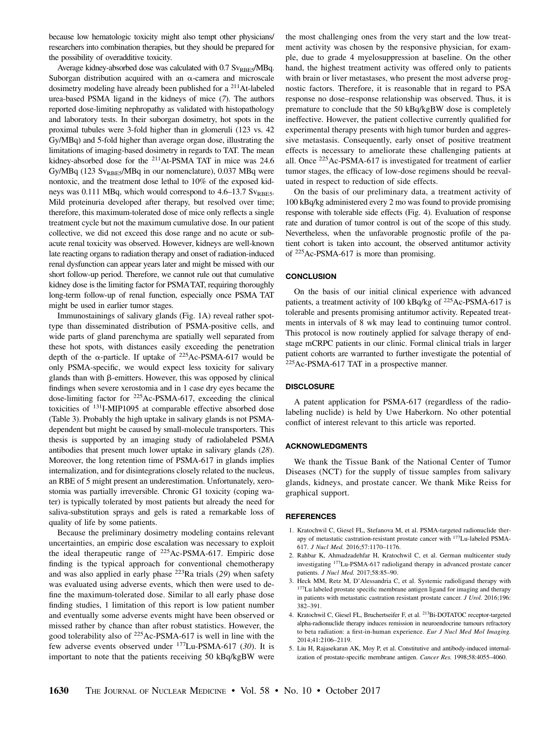because low hematologic toxicity might also tempt other physicians/ researchers into combination therapies, but they should be prepared for the possibility of overadditive toxicity.

Average kidney-absorbed dose was calculated with  $0.7$  Sv $_{RBE5}$ /MBq. Suborgan distribution acquired with an  $\alpha$ -camera and microscale dosimetry modeling have already been published for a 211At-labeled urea-based PSMA ligand in the kidneys of mice (7). The authors reported dose-limiting nephropathy as validated with histopathology and laboratory tests. In their suborgan dosimetry, hot spots in the proximal tubules were 3-fold higher than in glomeruli (123 vs. 42 Gy/MBq) and 5-fold higher than average organ dose, illustrating the limitations of imaging-based dosimetry in regards to TAT. The mean kidney-absorbed dose for the <sup>211</sup>At-PSMA TAT in mice was 24.6 Gy/MBq (123 Sv<sub>RBE5</sub>/MBq in our nomenclature), 0.037 MBq were nontoxic, and the treatment dose lethal to 10% of the exposed kidneys was 0.111 MBq, which would correspond to  $4.6-13.7$  Sv<sub>RBE5</sub>. Mild proteinuria developed after therapy, but resolved over time; therefore, this maximum-tolerated dose of mice only reflects a single treatment cycle but not the maximum cumulative dose. In our patient collective, we did not exceed this dose range and no acute or subacute renal toxicity was observed. However, kidneys are well-known late reacting organs to radiation therapy and onset of radiation-induced renal dysfunction can appear years later and might be missed with our short follow-up period. Therefore, we cannot rule out that cumulative kidney dose is the limiting factor for PSMATAT, requiring thoroughly long-term follow-up of renal function, especially once PSMA TAT might be used in earlier tumor stages.

Immunostainings of salivary glands (Fig. 1A) reveal rather spottype than disseminated distribution of PSMA-positive cells, and wide parts of gland parenchyma are spatially well separated from these hot spots, with distances easily exceeding the penetration depth of the  $\alpha$ -particle. If uptake of <sup>225</sup>Ac-PSMA-617 would be only PSMA-specific, we would expect less toxicity for salivary glands than with  $\beta$ -emitters. However, this was opposed by clinical findings when severe xerostomia and in 1 case dry eyes became the dose-limiting factor for 225Ac-PSMA-617, exceeding the clinical toxicities of 131I-MIP1095 at comparable effective absorbed dose (Table 3). Probably the high uptake in salivary glands is not PSMAdependent but might be caused by small-molecule transporters. This thesis is supported by an imaging study of radiolabeled PSMA antibodies that present much lower uptake in salivary glands (28). Moreover, the long retention time of PSMA-617 in glands implies internalization, and for disintegrations closely related to the nucleus, an RBE of 5 might present an underestimation. Unfortunately, xerostomia was partially irreversible. Chronic G1 toxicity (coping water) is typically tolerated by most patients but already the need for saliva-substitution sprays and gels is rated a remarkable loss of quality of life by some patients.

Because the preliminary dosimetry modeling contains relevant uncertainties, an empiric dose escalation was necessary to exploit the ideal therapeutic range of 225Ac-PSMA-617. Empiric dose finding is the typical approach for conventional chemotherapy and was also applied in early phase  $223$ Ra trials (29) when safety was evaluated using adverse events, which then were used to define the maximum-tolerated dose. Similar to all early phase dose finding studies, 1 limitation of this report is low patient number and eventually some adverse events might have been observed or missed rather by chance than after robust statistics. However, the good tolerability also of 225Ac-PSMA-617 is well in line with the few adverse events observed under 177Lu-PSMA-617 (30). It is important to note that the patients receiving 50 kBq/kgBW were

the most challenging ones from the very start and the low treatment activity was chosen by the responsive physician, for example, due to grade 4 myelosuppression at baseline. On the other hand, the highest treatment activity was offered only to patients with brain or liver metastases, who present the most adverse prognostic factors. Therefore, it is reasonable that in regard to PSA response no dose–response relationship was observed. Thus, it is premature to conclude that the 50 kBq/kgBW dose is completely ineffective. However, the patient collective currently qualified for experimental therapy presents with high tumor burden and aggressive metastasis. Consequently, early onset of positive treatment effects is necessary to ameliorate these challenging patients at all. Once 225Ac-PSMA-617 is investigated for treatment of earlier tumor stages, the efficacy of low-dose regimens should be reevaluated in respect to reduction of side effects.

On the basis of our preliminary data, a treatment activity of 100 kBq/kg administered every 2 mo was found to provide promising response with tolerable side effects (Fig. 4). Evaluation of response rate and duration of tumor control is out of the scope of this study. Nevertheless, when the unfavorable prognostic profile of the patient cohort is taken into account, the observed antitumor activity of 225Ac-PSMA-617 is more than promising.

# **CONCLUSION**

On the basis of our initial clinical experience with advanced patients, a treatment activity of 100 kBq/kg of <sup>225</sup>Ac-PSMA-617 is tolerable and presents promising antitumor activity. Repeated treatments in intervals of 8 wk may lead to continuing tumor control. This protocol is now routinely applied for salvage therapy of endstage mCRPC patients in our clinic. Formal clinical trials in larger patient cohorts are warranted to further investigate the potential of 225Ac-PSMA-617 TAT in a prospective manner.

#### **DISCLOSURE**

A patent application for PSMA-617 (regardless of the radiolabeling nuclide) is held by Uwe Haberkorn. No other potential conflict of interest relevant to this article was reported.

#### ACKNOWLEDGMENTS

We thank the Tissue Bank of the National Center of Tumor Diseases (NCT) for the supply of tissue samples from salivary glands, kidneys, and prostate cancer. We thank Mike Reiss for graphical support.

#### REFERENCES

- 1. Kratochwil C, Giesel FL, Stefanova M, et al. PSMA-targeted radionuclide therapy of metastatic castration-resistant prostate cancer with 177Lu-labeled PSMA-617. J Nucl Med. 2016;57:1170–1176.
- 2. Rahbar K, Ahmadzadehfar H, Kratochwil C, et al. German multicenter study investigating 177Lu-PSMA-617 radioligand therapy in advanced prostate cancer patients. J Nucl Med. 2017;58:85–90.
- 3. Heck MM, Retz M, D'Alessandria C, et al. Systemic radioligand therapy with <sup>177</sup>Lu labeled prostate specific membrane antigen ligand for imaging and therapy in patients with metastatic castration resistant prostate cancer. J Urol. 2016;196: 382–391.
- 4. Kratochwil C, Giesel FL, Bruchertseifer F, et al. 213Bi-DOTATOC receptor-targeted alpha-radionuclide therapy induces remission in neuroendocrine tumours refractory to beta radiation: a first-in-human experience. Eur J Nucl Med Mol Imaging. 2014;41:2106–2119.
- 5. Liu H, Rajasekaran AK, Moy P, et al. Constitutive and antibody-induced internalization of prostate-specific membrane antigen. Cancer Res. 1998;58:4055–4060.